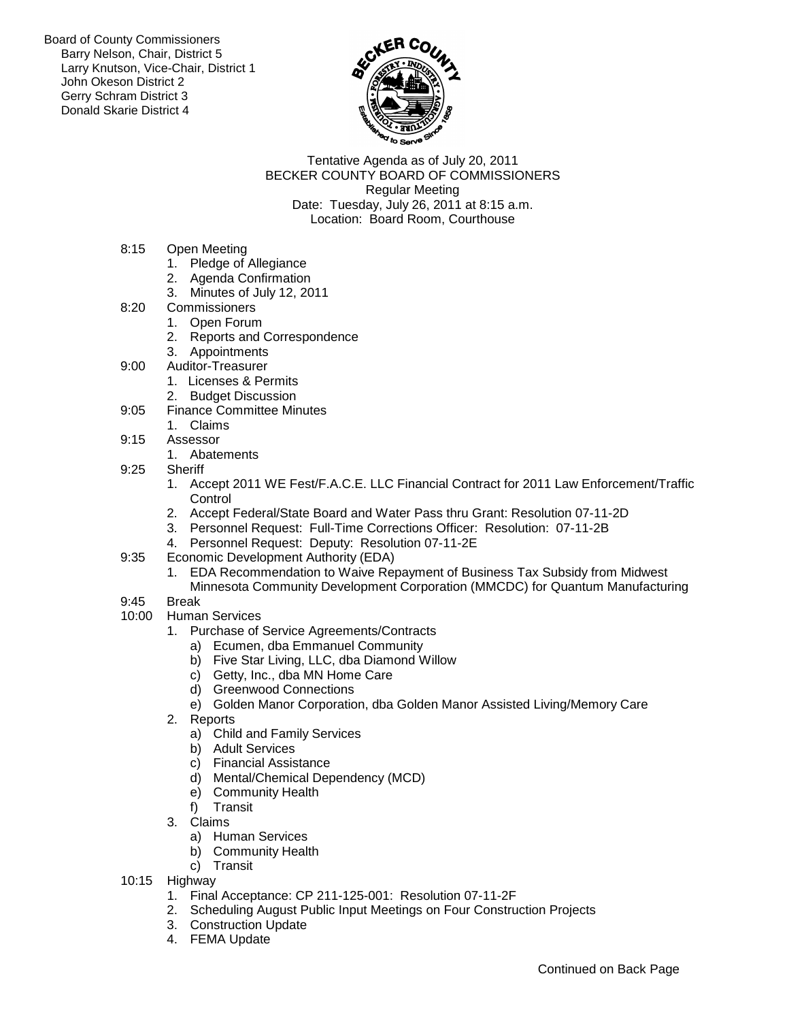Board of County Commissioners Barry Nelson, Chair, District 5 Larry Knutson, Vice-Chair, District 1 John Okeson District 2 Gerry Schram District 3 Donald Skarie District 4



Tentative Agenda as of July 20, 2011 BECKER COUNTY BOARD OF COMMISSIONERS Regular Meeting Date: Tuesday, July 26, 2011 at 8:15 a.m. Location: Board Room, Courthouse

- 8:15 Open Meeting
	- 1. Pledge of Allegiance
	- 2. Agenda Confirmation
	- 3. Minutes of July 12, 2011
- 8:20 Commissioners
	- 1. Open Forum
		- 2. Reports and Correspondence
	- 3. Appointments
- 9:00 Auditor-Treasurer
	- 1. Licenses & Permits
	- 2. Budget Discussion
- 9:05 Finance Committee Minutes
	- 1. Claims
- 9:15 Assessor
	- 1. Abatements
- 9:25 Sheriff
	- 1. Accept 2011 WE Fest/F.A.C.E. LLC Financial Contract for 2011 Law Enforcement/Traffic **Control**
	- 2. Accept Federal/State Board and Water Pass thru Grant: Resolution 07-11-2D
	- 3. Personnel Request: Full-Time Corrections Officer: Resolution: 07-11-2B
	- 4. Personnel Request: Deputy: Resolution 07-11-2E
- 9:35 Economic Development Authority (EDA)
	- 1. EDA Recommendation to Waive Repayment of Business Tax Subsidy from Midwest Minnesota Community Development Corporation (MMCDC) for Quantum Manufacturing
- 9:45 Break
- 10:00 Human Services
	- 1. Purchase of Service Agreements/Contracts
		- a) Ecumen, dba Emmanuel Community
		- b) Five Star Living, LLC, dba Diamond Willow
		- c) Getty, Inc., dba MN Home Care
		- d) Greenwood Connections
		- e) Golden Manor Corporation, dba Golden Manor Assisted Living/Memory Care
	- 2. Reports
		- a) Child and Family Services
		- b) Adult Services
		- c) Financial Assistance
		- d) Mental/Chemical Dependency (MCD)
		- e) Community Health
		- f) Transit
	- 3. Claims
		- a) Human Services
		- b) Community Health
		- c) Transit
- 10:15 Highway
	- 1. Final Acceptance: CP 211-125-001: Resolution 07-11-2F
	- 2. Scheduling August Public Input Meetings on Four Construction Projects
	- 3. Construction Update
	- 4. FEMA Update